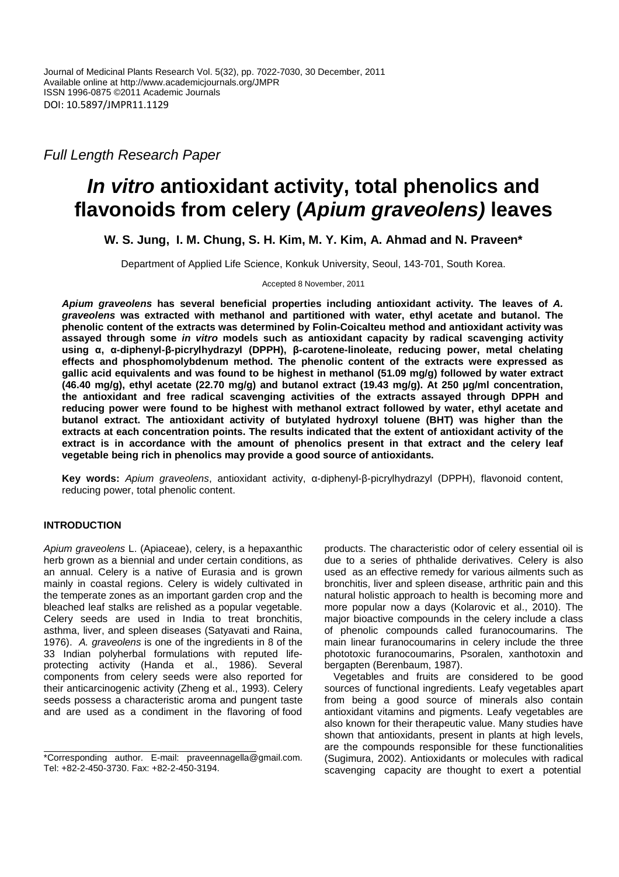Full Length Research Paper

# **In vitro antioxidant activity, total phenolics and flavonoids from celery (Apium graveolens) leaves**

**W. S. Jung, I. M. Chung, S. H. Kim, M. Y. Kim, A. Ahmad and N. Praveen\*** 

Department of Applied Life Science, Konkuk University, Seoul, 143-701, South Korea.

Accepted 8 November, 2011

**Apium graveolens has several beneficial properties including antioxidant activity. The leaves of A. graveolens was extracted with methanol and partitioned with water, ethyl acetate and butanol. The phenolic content of the extracts was determined by Folin-Coicalteu method and antioxidant activity was assayed through some in vitro models such as antioxidant capacity by radical scavenging activity using α, α-diphenyl-β-picrylhydrazyl (DPPH), β-carotene-linoleate, reducing power, metal chelating effects and phosphomolybdenum method. The phenolic content of the extracts were expressed as gallic acid equivalents and was found to be highest in methanol (51.09 mg/g) followed by water extract (46.40 mg/g), ethyl acetate (22.70 mg/g) and butanol extract (19.43 mg/g). At 250 µg/ml concentration, the antioxidant and free radical scavenging activities of the extracts assayed through DPPH and reducing power were found to be highest with methanol extract followed by water, ethyl acetate and butanol extract. The antioxidant activity of butylated hydroxyl toluene (BHT) was higher than the extracts at each concentration points. The results indicated that the extent of antioxidant activity of the extract is in accordance with the amount of phenolics present in that extract and the celery leaf vegetable being rich in phenolics may provide a good source of antioxidants.** 

**Key words:** Apium graveolens, antioxidant activity, α-diphenyl-β-picrylhydrazyl (DPPH), flavonoid content, reducing power, total phenolic content.

# **INTRODUCTION**

Apium graveolens L. (Apiaceae), celery, is a hepaxanthic herb grown as a biennial and under certain conditions, as an annual. Celery is a native of Eurasia and is grown mainly in coastal regions. Celery is widely cultivated in the temperate zones as an important garden crop and the bleached leaf stalks are relished as a popular vegetable. Celery seeds are used in India to treat bronchitis, asthma, liver, and spleen diseases (Satyavati and Raina, 1976). A. graveolens is one of the ingredients in 8 of the 33 Indian polyherbal formulations with reputed lifeprotecting activity (Handa et al., 1986). Several components from celery seeds were also reported for their anticarcinogenic activity (Zheng et al., 1993). Celery seeds possess a characteristic aroma and pungent taste and are used as a condiment in the flavoring of food

products. The characteristic odor of celery essential oil is due to a series of phthalide derivatives. Celery is also used as an effective remedy for various ailments such as bronchitis, liver and spleen disease, arthritic pain and this natural holistic approach to health is becoming more and more popular now a days (Kolarovic et al., 2010). The major bioactive compounds in the celery include a class of phenolic compounds called furanocoumarins. The main linear furanocoumarins in celery include the three phototoxic furanocoumarins, Psoralen, xanthotoxin and bergapten (Berenbaum, 1987).

Vegetables and fruits are considered to be good sources of functional ingredients. Leafy vegetables apart from being a good source of minerals also contain antioxidant vitamins and pigments. Leafy vegetables are also known for their therapeutic value. Many studies have shown that antioxidants, present in plants at high levels, are the compounds responsible for these functionalities (Sugimura, 2002). Antioxidants or molecules with radical scavenging capacity are thought to exert a potential

<sup>\*</sup>Corresponding author. E-mail: praveennagella@gmail.com. Tel: +82-2-450-3730. Fax: +82-2-450-3194.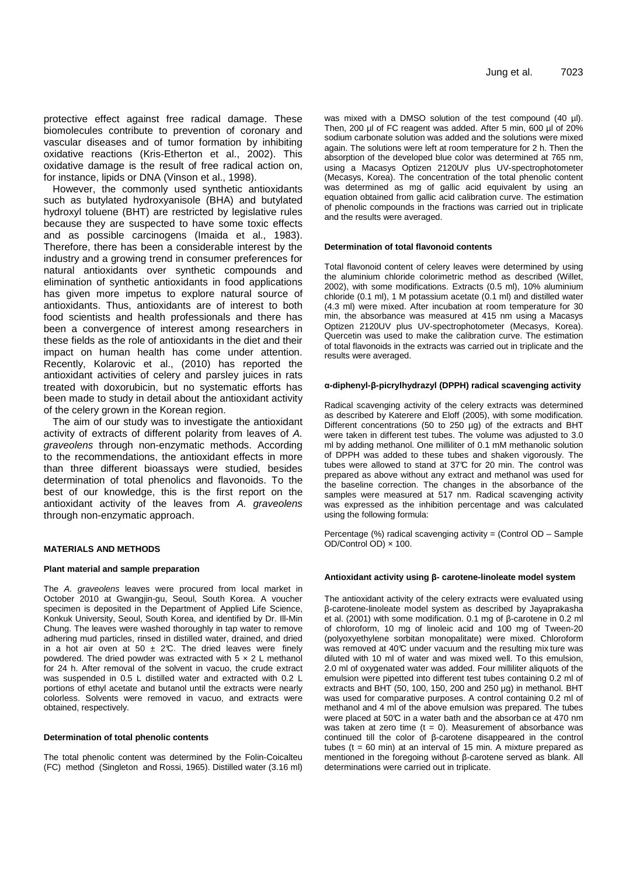protective effect against free radical damage. These biomolecules contribute to prevention of coronary and vascular diseases and of tumor formation by inhibiting oxidative reactions (Kris-Etherton et al., 2002). This oxidative damage is the result of free radical action on, for instance, lipids or DNA (Vinson et al., 1998).

However, the commonly used synthetic antioxidants such as butylated hydroxyanisole (BHA) and butylated hydroxyl toluene (BHT) are restricted by legislative rules because they are suspected to have some toxic effects and as possible carcinogens (Imaida et al., 1983). Therefore, there has been a considerable interest by the industry and a growing trend in consumer preferences for natural antioxidants over synthetic compounds and elimination of synthetic antioxidants in food applications has given more impetus to explore natural source of antioxidants. Thus, antioxidants are of interest to both food scientists and health professionals and there has been a convergence of interest among researchers in these fields as the role of antioxidants in the diet and their impact on human health has come under attention. Recently, Kolarovic et al., (2010) has reported the antioxidant activities of celery and parsley juices in rats treated with doxorubicin, but no systematic efforts has been made to study in detail about the antioxidant activity of the celery grown in the Korean region.

The aim of our study was to investigate the antioxidant activity of extracts of different polarity from leaves of A. graveolens through non-enzymatic methods. According to the recommendations, the antioxidant effects in more than three different bioassays were studied, besides determination of total phenolics and flavonoids. To the best of our knowledge, this is the first report on the antioxidant activity of the leaves from A. graveolens through non-enzymatic approach.

#### **MATERIALS AND METHODS**

#### **Plant material and sample preparation**

The A. graveolens leaves were procured from local market in October 2010 at Gwangjin-gu, Seoul, South Korea. A voucher specimen is deposited in the Department of Applied Life Science, Konkuk University, Seoul, South Korea, and identified by Dr. Ill-Min Chung. The leaves were washed thoroughly in tap water to remove adhering mud particles, rinsed in distilled water, drained, and dried in a hot air oven at 50  $\pm$  2°C. The dried leaves were finely powdered. The dried powder was extracted with  $5 \times 2$  L methanol for 24 h. After removal of the solvent in vacuo, the crude extract was suspended in 0.5 L distilled water and extracted with 0.2 L portions of ethyl acetate and butanol until the extracts were nearly colorless. Solvents were removed in vacuo, and extracts were obtained, respectively.

#### **Determination of total phenolic contents**

The total phenolic content was determined by the Folin-Coicalteu (FC) method (Singleton and Rossi, 1965). Distilled water (3.16 ml) was mixed with a DMSO solution of the test compound (40 µl). Then, 200 µl of FC reagent was added. After 5 min, 600 µl of 20% sodium carbonate solution was added and the solutions were mixed again. The solutions were left at room temperature for 2 h. Then the absorption of the developed blue color was determined at 765 nm, using a Macasys Optizen 2120UV plus UV-spectrophotometer (Mecasys, Korea). The concentration of the total phenolic content was determined as mg of gallic acid equivalent by using an equation obtained from gallic acid calibration curve. The estimation of phenolic compounds in the fractions was carried out in triplicate and the results were averaged.

#### **Determination of total flavonoid contents**

Total flavonoid content of celery leaves were determined by using the aluminium chloride colorimetric method as described (Willet, 2002), with some modifications. Extracts (0.5 ml), 10% aluminium chloride (0.1 ml), 1 M potassium acetate (0.1 ml) and distilled water (4.3 ml) were mixed. After incubation at room temperature for 30 min, the absorbance was measured at 415 nm using a Macasys Optizen 2120UV plus UV-spectrophotometer (Mecasys, Korea). Quercetin was used to make the calibration curve. The estimation of total flavonoids in the extracts was carried out in triplicate and the results were averaged.

#### **α-diphenyl-β-picrylhydrazyl (DPPH) radical scavenging activity**

Radical scavenging activity of the celery extracts was determined as described by Katerere and Eloff (2005), with some modification. Different concentrations (50 to 250 µg) of the extracts and BHT were taken in different test tubes. The volume was adjusted to 3.0 ml by adding methanol. One milliliter of 0.1 mM methanolic solution of DPPH was added to these tubes and shaken vigorously. The tubes were allowed to stand at 37°C for 20 min. The control was prepared as above without any extract and methanol was used for the baseline correction. The changes in the absorbance of the samples were measured at 517 nm. Radical scavenging activity was expressed as the inhibition percentage and was calculated using the following formula:

Percentage (%) radical scavenging activity = (Control OD – Sample OD/Control OD) × 100.

#### **Antioxidant activity using β- carotene-linoleate model system**

The antioxidant activity of the celery extracts were evaluated using β-carotene-linoleate model system as described by Jayaprakasha et al. (2001) with some modification. 0.1 mg of β-carotene in 0.2 ml of chloroform, 10 mg of linoleic acid and 100 mg of Tween-20 (polyoxyethylene sorbitan monopalitate) were mixed. Chloroform was removed at 40°C under vacuum and the resulting mix ture was diluted with 10 ml of water and was mixed well. To this emulsion, 2.0 ml of oxygenated water was added. Four milliliter aliquots of the emulsion were pipetted into different test tubes containing 0.2 ml of extracts and BHT (50, 100, 150, 200 and 250 µg) in methanol. BHT was used for comparative purposes. A control containing 0.2 ml of methanol and 4 ml of the above emulsion was prepared. The tubes were placed at 50°C in a water bath and the absorban ce at 470 nm was taken at zero time  $(t = 0)$ . Measurement of absorbance was continued till the color of β-carotene disappeared in the control tubes ( $t = 60$  min) at an interval of 15 min. A mixture prepared as mentioned in the foregoing without β-carotene served as blank. All determinations were carried out in triplicate.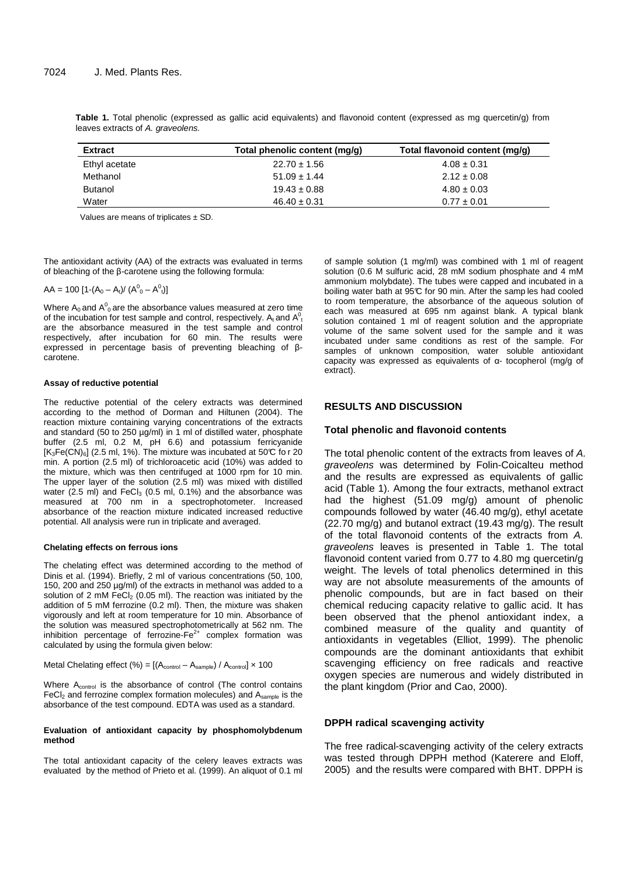**Table 1.** Total phenolic (expressed as gallic acid equivalents) and flavonoid content (expressed as mg quercetin/g) from leaves extracts of A. graveolens.

| <b>Extract</b> | Total phenolic content (mg/g) | Total flavonoid content (mg/g) |
|----------------|-------------------------------|--------------------------------|
| Ethyl acetate  | $22.70 \pm 1.56$              | $4.08 \pm 0.31$                |
| Methanol       | $51.09 \pm 1.44$              | $2.12 \pm 0.08$                |
| Butanol        | $19.43 \pm 0.88$              | $4.80 \pm 0.03$                |
| Water          | $46.40 \pm 0.31$              | $0.77 \pm 0.01$                |

Values are means of triplicates  $\pm$  SD.

The antioxidant activity (AA) of the extracts was evaluated in terms of bleaching of the β-carotene using the following formula:

$$
AA = 100 [1-(A_0 - A_t)/(A_0^0 - A_0^0)]
$$

Where  $A_0$  and  $A^0$ <sub>0</sub> are the absorbance values measured at zero time of the incubation for test sample and control, respectively.  $A_t$  and  $A_t^0$ are the absorbance measured in the test sample and control respectively, after incubation for 60 min. The results were expressed in percentage basis of preventing bleaching of βcarotene.

#### **Assay of reductive potential**

The reductive potential of the celery extracts was determined according to the method of Dorman and Hiltunen (2004). The reaction mixture containing varying concentrations of the extracts and standard (50 to 250  $\mu$ g/ml) in 1 ml of distilled water, phosphate buffer (2.5 ml, 0.2 M, pH 6.6) and potassium ferricyanide  $[K_3Fe(CN)_6]$  (2.5 ml, 1%). The mixture was incubated at 50°C for 20 min. A portion (2.5 ml) of trichloroacetic acid (10%) was added to the mixture, which was then centrifuged at 1000 rpm for 10 min. The upper layer of the solution (2.5 ml) was mixed with distilled water (2.5 ml) and  $FeCl<sub>3</sub>$  (0.5 ml, 0.1%) and the absorbance was measured at 700 nm in a spectrophotometer. Increased absorbance of the reaction mixture indicated increased reductive potential. All analysis were run in triplicate and averaged.

#### **Chelating effects on ferrous ions**

The chelating effect was determined according to the method of Dinis et al. (1994). Briefly, 2 ml of various concentrations (50, 100, 150, 200 and 250 µg/ml) of the extracts in methanol was added to a solution of 2 mM FeC $l_2$  (0.05 ml). The reaction was initiated by the addition of 5 mM ferrozine (0.2 ml). Then, the mixture was shaken vigorously and left at room temperature for 10 min. Absorbance of the solution was measured spectrophotometrically at 562 nm. The inhibition percentage of ferrozine- $Fe<sup>2+</sup>$  complex formation was calculated by using the formula given below:

Metal Chelating effect (%) =  $[(A_{\text{control}} - A_{\text{sample}}) / A_{\text{control}}] \times 100$ 

Where A<sub>control</sub> is the absorbance of control (The control contains  $FeCl<sub>2</sub>$  and ferrozine complex formation molecules) and  $A_{sample}$  is the absorbance of the test compound. EDTA was used as a standard.

#### **Evaluation of antioxidant capacity by phosphomolybdenum method**

The total antioxidant capacity of the celery leaves extracts was evaluated by the method of Prieto et al. (1999). An aliquot of 0.1 ml of sample solution (1 mg/ml) was combined with 1 ml of reagent solution (0.6 M sulfuric acid, 28 mM sodium phosphate and 4 mM ammonium molybdate). The tubes were capped and incubated in a boiling water bath at 95°C for 90 min. After the samp les had cooled to room temperature, the absorbance of the aqueous solution of each was measured at 695 nm against blank. A typical blank solution contained 1 ml of reagent solution and the appropriate volume of the same solvent used for the sample and it was incubated under same conditions as rest of the sample. For samples of unknown composition, water soluble antioxidant capacity was expressed as equivalents of α- tocopherol (mg/g of extract).

# **RESULTS AND DISCUSSION**

## **Total phenolic and flavonoid contents**

The total phenolic content of the extracts from leaves of A. graveolens was determined by Folin-Coicalteu method and the results are expressed as equivalents of gallic acid (Table 1). Among the four extracts, methanol extract had the highest (51.09 mg/g) amount of phenolic compounds followed by water (46.40 mg/g), ethyl acetate  $(22.70 \text{ mg/g})$  and butanol extract  $(19.43 \text{ mg/g})$ . The result of the total flavonoid contents of the extracts from A. graveolens leaves is presented in Table 1. The total flavonoid content varied from 0.77 to 4.80 mg quercetin/g weight. The levels of total phenolics determined in this way are not absolute measurements of the amounts of phenolic compounds, but are in fact based on their chemical reducing capacity relative to gallic acid. It has been observed that the phenol antioxidant index, a combined measure of the quality and quantity of antioxidants in vegetables (Elliot, 1999). The phenolic compounds are the dominant antioxidants that exhibit scavenging efficiency on free radicals and reactive oxygen species are numerous and widely distributed in the plant kingdom (Prior and Cao, 2000).

## **DPPH radical scavenging activity**

The free radical-scavenging activity of the celery extracts was tested through DPPH method (Katerere and Eloff, 2005) and the results were compared with BHT. DPPH is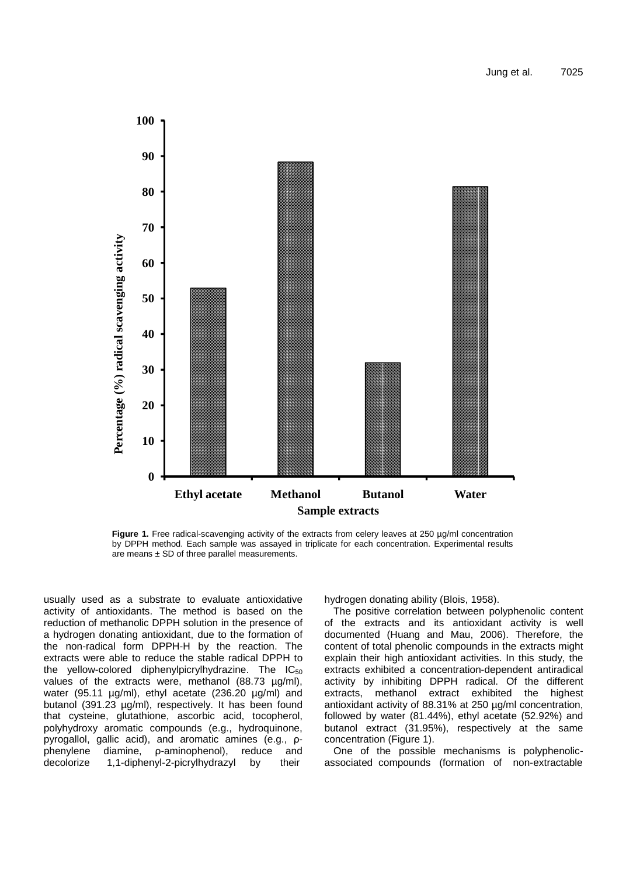

Figure 1. Free radical-scavenging activity of the extracts from celery leaves at 250 µg/ml concentration by DPPH method. Each sample was assayed in triplicate for each concentration. Experimental results are means  $\pm$  SD of three parallel measurements.

usually used as a substrate to evaluate antioxidative activity of antioxidants. The method is based on the reduction of methanolic DPPH solution in the presence of a hydrogen donating antioxidant, due to the formation of the non-radical form DPPH-H by the reaction. The extracts were able to reduce the stable radical DPPH to the yellow-colored diphenylpicrylhydrazine. The  $IC_{50}$ values of the extracts were, methanol (88.73 µg/ml), water (95.11 µg/ml), ethyl acetate (236.20 µg/ml) and butanol (391.23 µg/ml), respectively. It has been found that cysteine, glutathione, ascorbic acid, tocopherol, polyhydroxy aromatic compounds (e.g., hydroquinone, pyrogallol, gallic acid), and aromatic amines (e.g., ρphenylene diamine, ρ-aminophenol), reduce and decolorize 1,1-diphenyl-2-picrylhydrazyl by their

hydrogen donating ability (Blois, 1958).

The positive correlation between polyphenolic content of the extracts and its antioxidant activity is well documented (Huang and Mau, 2006). Therefore, the content of total phenolic compounds in the extracts might explain their high antioxidant activities. In this study, the extracts exhibited a concentration-dependent antiradical activity by inhibiting DPPH radical. Of the different extracts, methanol extract exhibited the highest antioxidant activity of 88.31% at 250 µg/ml concentration, followed by water (81.44%), ethyl acetate (52.92%) and butanol extract (31.95%), respectively at the same concentration (Figure 1).

One of the possible mechanisms is polyphenolicassociated compounds (formation of non-extractable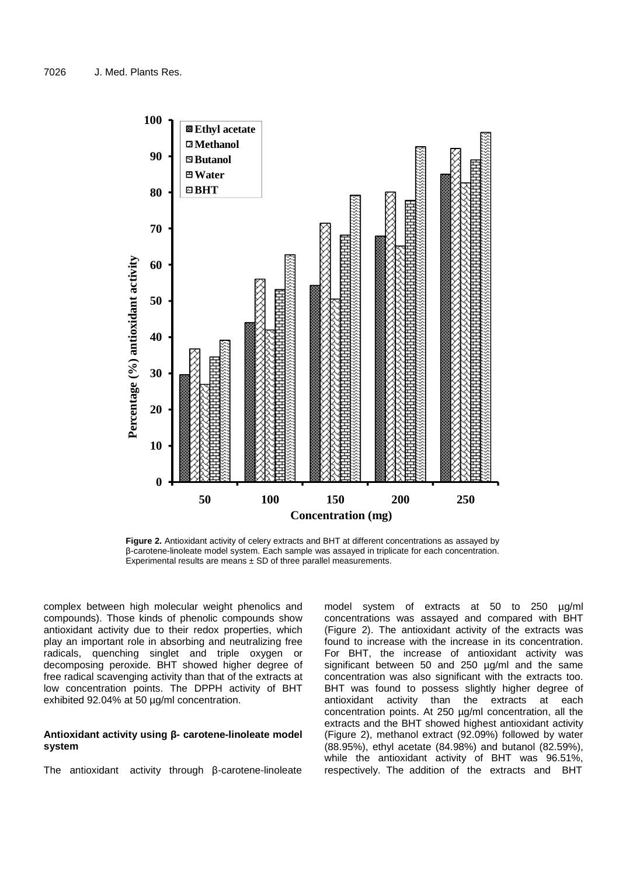

**Figure 2.** Antioxidant activity of celery extracts and BHT at different concentrations as assayed by β-carotene-linoleate model system. Each sample was assayed in triplicate for each concentration. Experimental results are means  $\pm$  SD of three parallel measurements.

complex between high molecular weight phenolics and compounds). Those kinds of phenolic compounds show antioxidant activity due to their redox properties, which play an important role in absorbing and neutralizing free radicals, quenching singlet and triple oxygen or decomposing peroxide. BHT showed higher degree of free radical scavenging activity than that of the extracts at low concentration points. The DPPH activity of BHT exhibited 92.04% at 50 µg/ml concentration.

# **Antioxidant activity using β- carotene-linoleate model system**

The antioxidant activity through β-carotene-linoleate

model system of extracts at 50 to 250 µg/ml concentrations was assayed and compared with BHT (Figure 2). The antioxidant activity of the extracts was found to increase with the increase in its concentration. For BHT, the increase of antioxidant activity was significant between 50 and 250 µg/ml and the same concentration was also significant with the extracts too. BHT was found to possess slightly higher degree of antioxidant activity than the extracts at each concentration points. At 250 µg/ml concentration, all the extracts and the BHT showed highest antioxidant activity (Figure 2), methanol extract (92.09%) followed by water (88.95%), ethyl acetate (84.98%) and butanol (82.59%), while the antioxidant activity of BHT was 96.51%, respectively. The addition of the extracts and BHT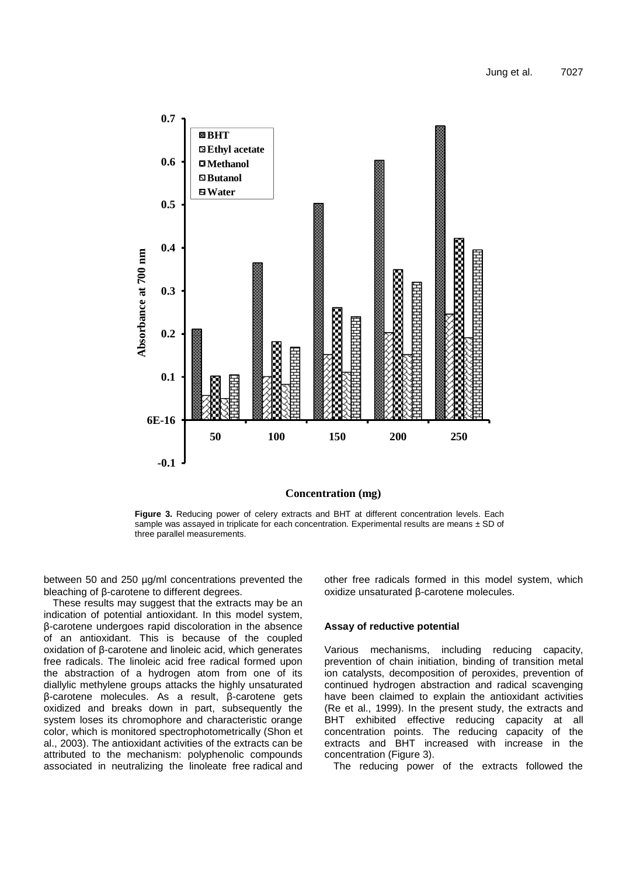

### **Concentration (mg)**

**Figure 3.** Reducing power of celery extracts and BHT at different concentration levels. Each sample was assayed in triplicate for each concentration. Experimental results are means ± SD of three parallel measurements.

between 50 and 250 µg/ml concentrations prevented the bleaching of β-carotene to different degrees.

These results may suggest that the extracts may be an indication of potential antioxidant. In this model system, β-carotene undergoes rapid discoloration in the absence of an antioxidant. This is because of the coupled oxidation of β-carotene and linoleic acid, which generates free radicals. The linoleic acid free radical formed upon the abstraction of a hydrogen atom from one of its diallylic methylene groups attacks the highly unsaturated β-carotene molecules. As a result, β-carotene gets oxidized and breaks down in part, subsequently the system loses its chromophore and characteristic orange color, which is monitored spectrophotometrically (Shon et al., 2003). The antioxidant activities of the extracts can be attributed to the mechanism: polyphenolic compounds associated in neutralizing the linoleate free radical and

other free radicals formed in this model system, which oxidize unsaturated β-carotene molecules.

# **Assay of reductive potential**

Various mechanisms, including reducing capacity, prevention of chain initiation, binding of transition metal ion catalysts, decomposition of peroxides, prevention of continued hydrogen abstraction and radical scavenging have been claimed to explain the antioxidant activities (Re et al., 1999). In the present study, the extracts and BHT exhibited effective reducing capacity at all concentration points. The reducing capacity of the extracts and BHT increased with increase in the concentration (Figure 3).

The reducing power of the extracts followed the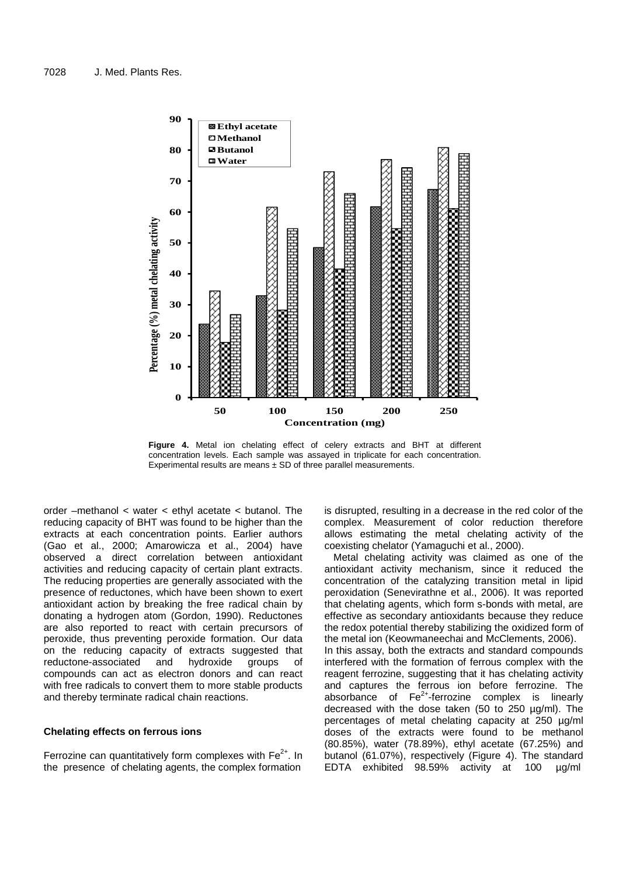

**Figure 4.** Metal ion chelating effect of celery extracts and BHT at different concentration levels. Each sample was assayed in triplicate for each concentration. Experimental results are means  $\pm$  SD of three parallel measurements.

order –methanol < water < ethyl acetate < butanol. The reducing capacity of BHT was found to be higher than the extracts at each concentration points. Earlier authors (Gao et al., 2000; Amarowicza et al., 2004) have observed a direct correlation between antioxidant activities and reducing capacity of certain plant extracts. The reducing properties are generally associated with the presence of reductones, which have been shown to exert antioxidant action by breaking the free radical chain by donating a hydrogen atom (Gordon, 1990). Reductones are also reported to react with certain precursors of peroxide, thus preventing peroxide formation. Our data on the reducing capacity of extracts suggested that reductone-associated and hydroxide groups of compounds can act as electron donors and can react with free radicals to convert them to more stable products and thereby terminate radical chain reactions.

## **Chelating effects on ferrous ions**

Ferrozine can quantitatively form complexes with  $Fe<sup>2+</sup>$ . In the presence of chelating agents, the complex formation

is disrupted, resulting in a decrease in the red color of the complex. Measurement of color reduction therefore allows estimating the metal chelating activity of the coexisting chelator (Yamaguchi et al., 2000).

Metal chelating activity was claimed as one of the antioxidant activity mechanism, since it reduced the concentration of the catalyzing transition metal in lipid peroxidation (Senevirathne et al., 2006). It was reported that chelating agents, which form s-bonds with metal, are effective as secondary antioxidants because they reduce the redox potential thereby stabilizing the oxidized form of the metal ion (Keowmaneechai and McClements, 2006). In this assay, both the extracts and standard compounds interfered with the formation of ferrous complex with the reagent ferrozine, suggesting that it has chelating activity and captures the ferrous ion before ferrozine. The absorbance of  $Fe^{2+}$ -ferrozine complex is linearly decreased with the dose taken (50 to 250 µg/ml). The percentages of metal chelating capacity at 250 µg/ml doses of the extracts were found to be methanol (80.85%), water (78.89%), ethyl acetate (67.25%) and butanol (61.07%), respectively (Figure 4). The standard EDTA exhibited 98.59% activity at 100 µg/ml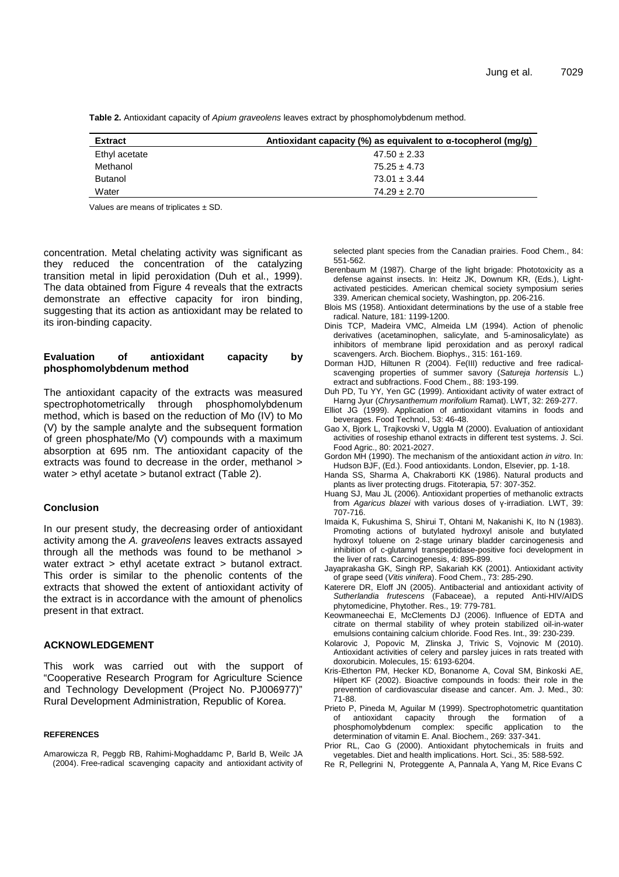**Table 2.** Antioxidant capacity of Apium graveolens leaves extract by phosphomolybdenum method.

| <b>Extract</b> | Antioxidant capacity (%) as equivalent to $\alpha$ -tocopherol (mg/g) |  |
|----------------|-----------------------------------------------------------------------|--|
| Ethyl acetate  | $47.50 \pm 2.33$                                                      |  |
| Methanol       | $75.25 \pm 4.73$                                                      |  |
| Butanol        | $73.01 \pm 3.44$                                                      |  |
| Water          | $74.29 \pm 2.70$                                                      |  |
|                |                                                                       |  |

Values are means of triplicates ± SD.

concentration. Metal chelating activity was significant as they reduced the concentration of the catalyzing transition metal in lipid peroxidation (Duh et al., 1999). The data obtained from Figure 4 reveals that the extracts demonstrate an effective capacity for iron binding, suggesting that its action as antioxidant may be related to its iron-binding capacity.

## **Evaluation of antioxidant capacity by phosphomolybdenum method**

The antioxidant capacity of the extracts was measured spectrophotometrically through phosphomolybdenum method, which is based on the reduction of Mo (IV) to Mo (V) by the sample analyte and the subsequent formation of green phosphate/Mo (V) compounds with a maximum absorption at 695 nm. The antioxidant capacity of the extracts was found to decrease in the order, methanol > water > ethyl acetate > butanol extract (Table 2).

## **Conclusion**

In our present study, the decreasing order of antioxidant activity among the A. graveolens leaves extracts assayed through all the methods was found to be methanol > water extract > ethyl acetate extract > butanol extract. This order is similar to the phenolic contents of the extracts that showed the extent of antioxidant activity of the extract is in accordance with the amount of phenolics present in that extract.

# **ACKNOWLEDGEMENT**

This work was carried out with the support of "Cooperative Research Program for Agriculture Science and Technology Development (Project No. PJ006977)" Rural Development Administration, Republic of Korea.

## **REFERENCES**

Amarowicza R, Peggb RB, Rahimi-Moghaddamc P, Barld B, Weilc JA (2004). Free-radical scavenging capacity and antioxidant activity of selected plant species from the Canadian prairies. Food Chem., 84: 551-562.

- Berenbaum M (1987). Charge of the light brigade: Phototoxicity as a defense against insects. In: Heitz JK, Downum KR, (Eds.), Lightactivated pesticides. American chemical society symposium series 339. American chemical society, Washington, pp. 206-216.
- Blois MS (1958). Antioxidant determinations by the use of a stable free radical. Nature, 181: 1199-1200.
- Dinis TCP, Madeira VMC, Almeida LM (1994). Action of phenolic derivatives (acetaminophen, salicylate, and 5-aminosalicylate) as inhibitors of membrane lipid peroxidation and as peroxyl radical scavengers. Arch. Biochem. Biophys., 315: 161-169.
- Dorman HJD, Hiltunen R (2004). Fe(III) reductive and free radicalscavenging properties of summer savory (Satureja hortensis L.) extract and subfractions. Food Chem., 88: 193-199.
- Duh PD, Tu YY, Yen GC (1999). Antioxidant activity of water extract of Harng Jyur (Chrysanthemum morifolium Ramat). LWT, 32: 269-277.
- Elliot JG (1999). Application of antioxidant vitamins in foods and beverages. Food Technol., 53: 46-48.
- Gao X, Bjork L, Trajkovski V, Uggla M (2000). Evaluation of antioxidant activities of roseship ethanol extracts in different test systems. J. Sci. Food Agric., 80: 2021-2027.
- Gordon MH (1990). The mechanism of the antioxidant action in vitro. In: Hudson BJF, (Ed.). Food antioxidants. London, Elsevier, pp. 1-18.
- Handa SS, Sharma A, Chakraborti KK (1986). Natural products and plants as liver protecting drugs. Fitoterapia, 57: 307-352.
- Huang SJ, Mau JL (2006). Antioxidant properties of methanolic extracts from Agaricus blazei with various doses of γ-irradiation. LWT, 39: 707-716.
- Imaida K, Fukushima S, Shirui T, Ohtani M, Nakanishi K, Ito N (1983). Promoting actions of butylated hydroxyl anisole and butylated hydroxyl toluene on 2-stage urinary bladder carcinogenesis and inhibition of c-glutamyl transpeptidase-positive foci development in the liver of rats. Carcinogenesis, 4: 895-899.
- Jayaprakasha GK, Singh RP, Sakariah KK (2001). Antioxidant activity of grape seed (Vitis vinifera). Food Chem., 73: 285-290.
- Katerere DR, Eloff JN (2005). Antibacterial and antioxidant activity of Sutherlandia frutescens (Fabaceae), a reputed Anti-HIV/AIDS phytomedicine, Phytother. Res., 19: 779-781.
- Keowmaneechai E, McClements DJ (2006). Influence of EDTA and citrate on thermal stability of whey protein stabilized oil-in-water emulsions containing calcium chloride. Food Res. Int., 39: 230-239.
- Kolarovic J, Popovic M, Zlinska J, Trivic S, Vojnovic M (2010). Antioxidant activities of celery and parsley juices in rats treated with doxorubicin. Molecules, 15: 6193-6204.
- Kris-Etherton PM, Hecker KD, Bonanome A, Coval SM, Binkoski AE, Hilpert KF (2002). Bioactive compounds in foods: their role in the prevention of cardiovascular disease and cancer. Am. J. Med., 30: 71-88.
- Prieto P, Pineda M, Aguilar M (1999). Spectrophotometric quantitation of antioxidant capacity through the formation of a phosphomolybdenum complex: specific application to the determination of vitamin E. Anal. Biochem., 269: 337-341.
- Prior RL, Cao G (2000). Antioxidant phytochemicals in fruits and vegetables. Diet and health implications. Hort. Sci., 35: 588-592.
- Re R, Pellegrini N, Proteggente A, Pannala A, Yang M, Rice Evans C